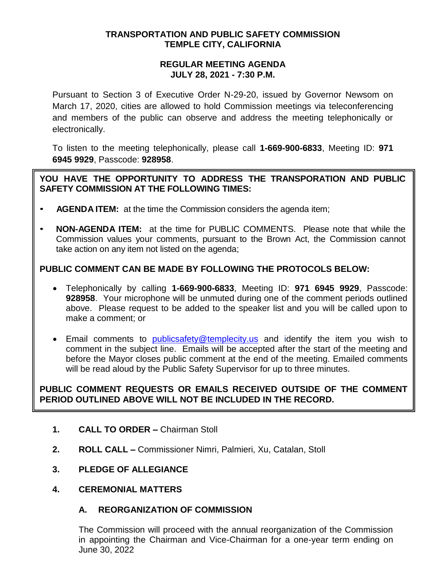### **TRANSPORTATION AND PUBLIC SAFETY COMMISSION TEMPLE CITY, CALIFORNIA**

#### **REGULAR MEETING AGENDA JULY 28, 2021 - 7:30 P.M.**

Pursuant to Section 3 of Executive Order N-29-20, issued by Governor Newsom on March 17, 2020, cities are allowed to hold Commission meetings via teleconferencing and members of the public can observe and address the meeting telephonically or electronically.

To listen to the meeting telephonically, please call **1-669-900-6833**, Meeting ID: **971 6945 9929**, Passcode: **928958**.

## **YOU HAVE THE OPPORTUNITY TO ADDRESS THE TRANSPORATION AND PUBLIC SAFETY COMMISSION AT THE FOLLOWING TIMES:**

- **AGENDA ITEM:** at the time the Commission considers the agenda item;
- **NON-AGENDA ITEM:** at the time for PUBLIC COMMENTS. Please note that while the Commission values your comments, pursuant to the Brown Act, the Commission cannot take action on any item not listed on the agenda;

# **PUBLIC COMMENT CAN BE MADE BY FOLLOWING THE PROTOCOLS BELOW:**

- Telephonically by calling **1-669-900-6833**, Meeting ID: **971 6945 9929**, Passcode: **928958**. Your microphone will be unmuted during one of the comment periods outlined above. Please request to be added to the speaker list and you will be called upon to make a comment; or
- **Email comments to [publicsafety@templecity.us](mailto:publicsafety@templecity.us) and identify the item you wish to** comment in the subject line. Emails will be accepted after the start of the meeting and before the Mayor closes public comment at the end of the meeting. Emailed comments will be read aloud by the Public Safety Supervisor for up to three minutes.

# **PUBLIC COMMENT REQUESTS OR EMAILS RECEIVED OUTSIDE OF THE COMMENT PERIOD OUTLINED ABOVE WILL NOT BE INCLUDED IN THE RECORD.**

- **1. CALL TO ORDER –** Chairman Stoll
- **2. ROLL CALL –** Commissioner Nimri, Palmieri, Xu, Catalan, Stoll
- **3. PLEDGE OF ALLEGIANCE**
- **4. CEREMONIAL MATTERS**

### **A. REORGANIZATION OF COMMISSION**

The Commission will proceed with the annual reorganization of the Commission in appointing the Chairman and Vice-Chairman for a one-year term ending on June 30, 2022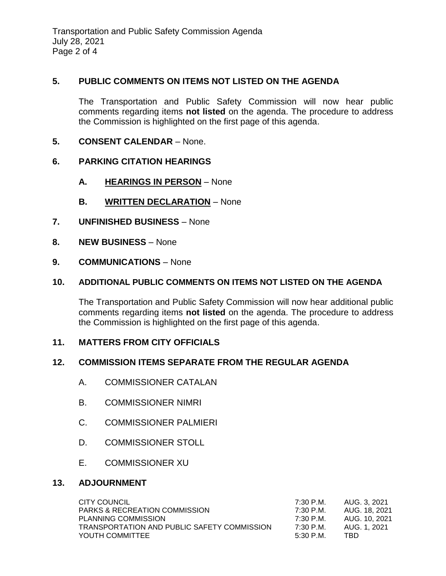## **5. PUBLIC COMMENTS ON ITEMS NOT LISTED ON THE AGENDA**

The Transportation and Public Safety Commission will now hear public comments regarding items **not listed** on the agenda. The procedure to address the Commission is highlighted on the first page of this agenda.

**5. CONSENT CALENDAR** – None.

## **6. PARKING CITATION HEARINGS**

- **A. HEARINGS IN PERSON** None
- **B. WRITTEN DECLARATION** None
- **7. UNFINISHED BUSINESS** None
- **8. NEW BUSINESS** None
- **9. COMMUNICATIONS** None

### **10. ADDITIONAL PUBLIC COMMENTS ON ITEMS NOT LISTED ON THE AGENDA**

The Transportation and Public Safety Commission will now hear additional public comments regarding items **not listed** on the agenda. The procedure to address the Commission is highlighted on the first page of this agenda.

### **11. MATTERS FROM CITY OFFICIALS**

### **12. COMMISSION ITEMS SEPARATE FROM THE REGULAR AGENDA**

- A. COMMISSIONER CATALAN
- B. COMMISSIONER NIMRI
- C. COMMISSIONER PALMIERI
- D. COMMISSIONER STOLL
- E. COMMISSIONER XU

### **13. ADJOURNMENT**

| CITY COUNCIL                                | 7:30 P.M. | AUG. 3. 2021  |
|---------------------------------------------|-----------|---------------|
| <b>PARKS &amp; RECREATION COMMISSION</b>    | 7:30 P.M. | AUG. 18, 2021 |
| PLANNING COMMISSION                         | 7:30 P.M. | AUG. 10, 2021 |
| TRANSPORTATION AND PUBLIC SAFETY COMMISSION | 7:30 P.M. | AUG. 1, 2021  |
| YOUTH COMMITTEE                             | 5:30 P.M. | TBD           |